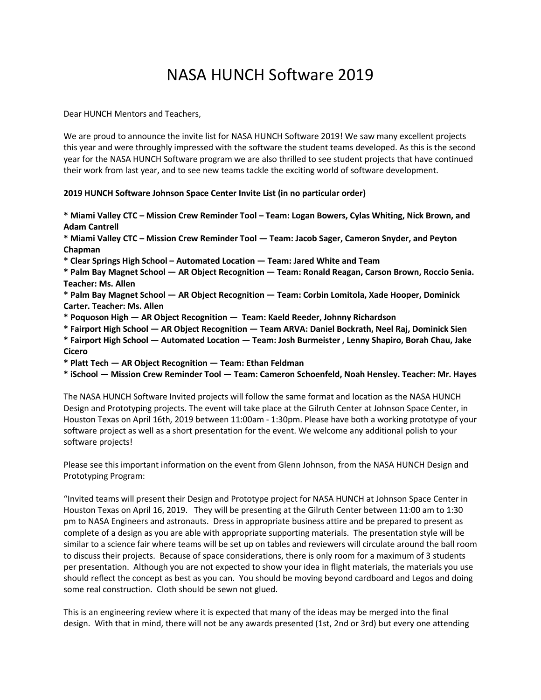## NASA HUNCH Software 2019

Dear HUNCH Mentors and Teachers,

We are proud to announce the invite list for NASA HUNCH Software 2019! We saw many excellent projects this year and were throughly impressed with the software the student teams developed. As this is the second year for the NASA HUNCH Software program we are also thrilled to see student projects that have continued their work from last year, and to see new teams tackle the exciting world of software development.

## **2019 HUNCH Software Johnson Space Center Invite List (in no particular order)**

**\* Miami Valley CTC – Mission Crew Reminder Tool – Team: Logan Bowers, Cylas Whiting, Nick Brown, and Adam Cantrell**

**\* Miami Valley CTC – Mission Crew Reminder Tool — Team: Jacob Sager, Cameron Snyder, and Peyton Chapman**

**\* Clear Springs High School – Automated Location — Team: Jared White and Team**

**\* Palm Bay Magnet School — AR Object Recognition — Team: Ronald Reagan, Carson Brown, Roccio Senia. Teacher: Ms. Allen**

**\* Palm Bay Magnet School — AR Object Recognition — Team: Corbin Lomitola, Xade Hooper, Dominick Carter. Teacher: Ms. Allen**

**\* Poquoson High — AR Object Recognition — Team: Kaeld Reeder, Johnny Richardson**

**\* Fairport High School — AR Object Recognition — Team ARVA: Daniel Bockrath, Neel Raj, Dominick Sien**

**\* Fairport High School — Automated Location — Team: Josh Burmeister , Lenny Shapiro, Borah Chau, Jake Cicero**

**\* Platt Tech — AR Object Recognition — Team: Ethan Feldman**

**\* iSchool — Mission Crew Reminder Tool — Team: Cameron Schoenfeld, Noah Hensley. Teacher: Mr. Hayes**

The NASA HUNCH Software Invited projects will follow the same format and location as the NASA HUNCH Design and Prototyping projects. The event will take place at the Gilruth Center at Johnson Space Center, in Houston Texas on April 16th, 2019 between 11:00am - 1:30pm. Please have both a working prototype of your software project as well as a short presentation for the event. We welcome any additional polish to your software projects!

Please see this important information on the event from Glenn Johnson, from the NASA HUNCH Design and Prototyping Program:

"Invited teams will present their Design and Prototype project for NASA HUNCH at Johnson Space Center in Houston Texas on April 16, 2019. They will be presenting at the Gilruth Center between 11:00 am to 1:30 pm to NASA Engineers and astronauts. Dress in appropriate business attire and be prepared to present as complete of a design as you are able with appropriate supporting materials. The presentation style will be similar to a science fair where teams will be set up on tables and reviewers will circulate around the ball room to discuss their projects. Because of space considerations, there is only room for a maximum of 3 students per presentation. Although you are not expected to show your idea in flight materials, the materials you use should reflect the concept as best as you can. You should be moving beyond cardboard and Legos and doing some real construction. Cloth should be sewn not glued.

This is an engineering review where it is expected that many of the ideas may be merged into the final design. With that in mind, there will not be any awards presented (1st, 2nd or 3rd) but every one attending